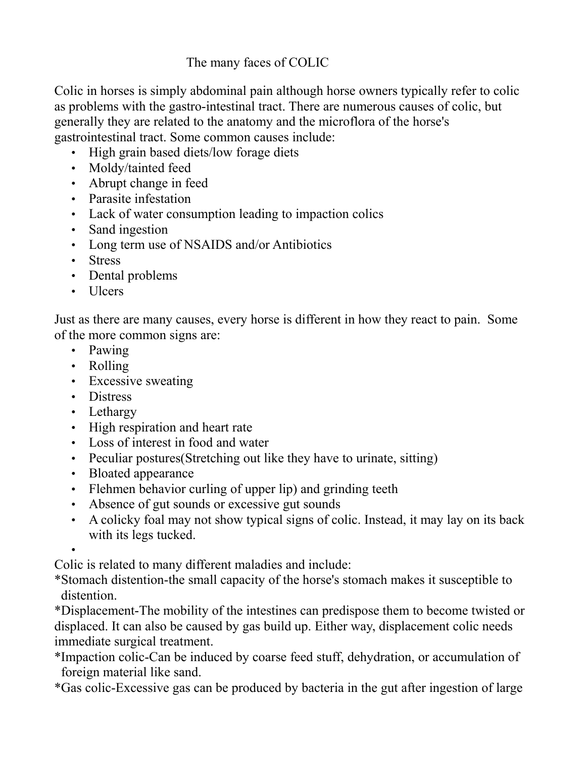## The many faces of COLIC

Colic in horses is simply abdominal pain although horse owners typically refer to colic as problems with the gastro-intestinal tract. There are numerous causes of colic, but generally they are related to the anatomy and the microflora of the horse's gastrointestinal tract. Some common causes include:

- High grain based diets/low forage diets
- Moldy/tainted feed
- Abrupt change in feed
- Parasite infestation
- Lack of water consumption leading to impaction colics
- Sand ingestion
- Long term use of NSAIDS and/or Antibiotics
- Stress
- Dental problems
- Ulcers

Just as there are many causes, every horse is different in how they react to pain. Some of the more common signs are:

- Pawing
- Rolling
- Excessive sweating
- Distress
- Lethargy
- High respiration and heart rate
- Loss of interest in food and water
- Peculiar postures (Stretching out like they have to urinate, sitting)
- Bloated appearance
- Flehmen behavior curling of upper lip) and grinding teeth
- Absence of gut sounds or excessive gut sounds
- A colicky foal may not show typical signs of colic. Instead, it may lay on its back with its legs tucked.

• Colic is related to many different maladies and include:

\*Stomach distention-the small capacity of the horse's stomach makes it susceptible to distention.

\*Displacement-The mobility of the intestines can predispose them to become twisted or displaced. It can also be caused by gas build up. Either way, displacement colic needs immediate surgical treatment.

\*Impaction colic-Can be induced by coarse feed stuff, dehydration, or accumulation of foreign material like sand.

\*Gas colic-Excessive gas can be produced by bacteria in the gut after ingestion of large